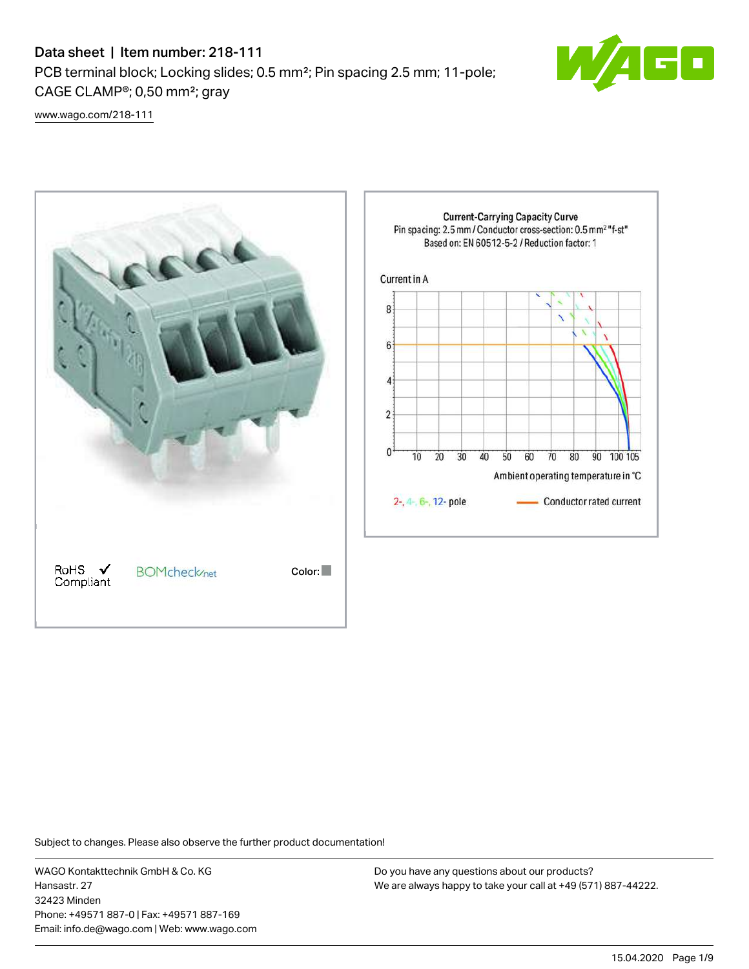# Data sheet | Item number: 218-111 PCB terminal block; Locking slides; 0.5 mm²; Pin spacing 2.5 mm; 11-pole; CAGE CLAMP®; 0,50 mm²; gray



[www.wago.com/218-111](http://www.wago.com/218-111)



Subject to changes. Please also observe the further product documentation!

WAGO Kontakttechnik GmbH & Co. KG Hansastr. 27 32423 Minden Phone: +49571 887-0 | Fax: +49571 887-169 Email: info.de@wago.com | Web: www.wago.com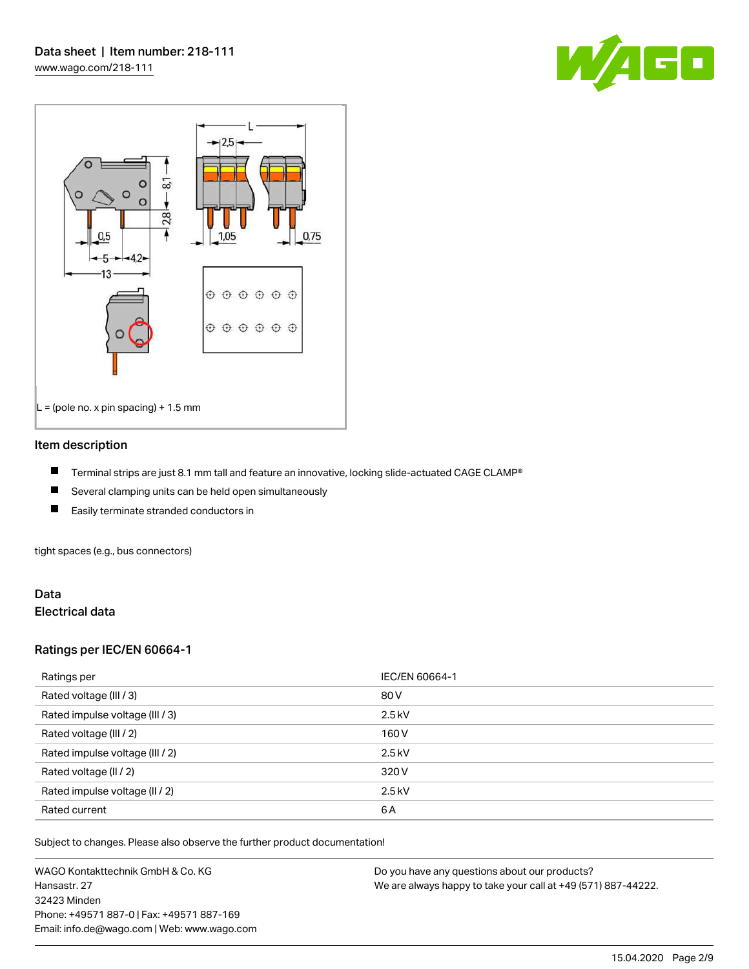



#### Item description

- П Terminal strips are just 8.1 mm tall and feature an innovative, locking slide-actuated CAGE CLAMP®
- $\blacksquare$ Several clamping units can be held open simultaneously
- П Easily terminate stranded conductors in

tight spaces (e.g., bus connectors)

#### Data Electrical data

#### Ratings per IEC/EN 60664-1

| Ratings per                     | IEC/EN 60664-1 |
|---------------------------------|----------------|
| Rated voltage (III / 3)         | 80 V           |
| Rated impulse voltage (III / 3) | $2.5$ kV       |
| Rated voltage (III / 2)         | 160 V          |
| Rated impulse voltage (III / 2) | $2.5$ kV       |
| Rated voltage (II / 2)          | 320 V          |
| Rated impulse voltage (II / 2)  | $2.5$ kV       |
| Rated current                   | 6A             |

Subject to changes. Please also observe the further product documentation!

WAGO Kontakttechnik GmbH & Co. KG Hansastr. 27 32423 Minden Phone: +49571 887-0 | Fax: +49571 887-169 Email: info.de@wago.com | Web: www.wago.com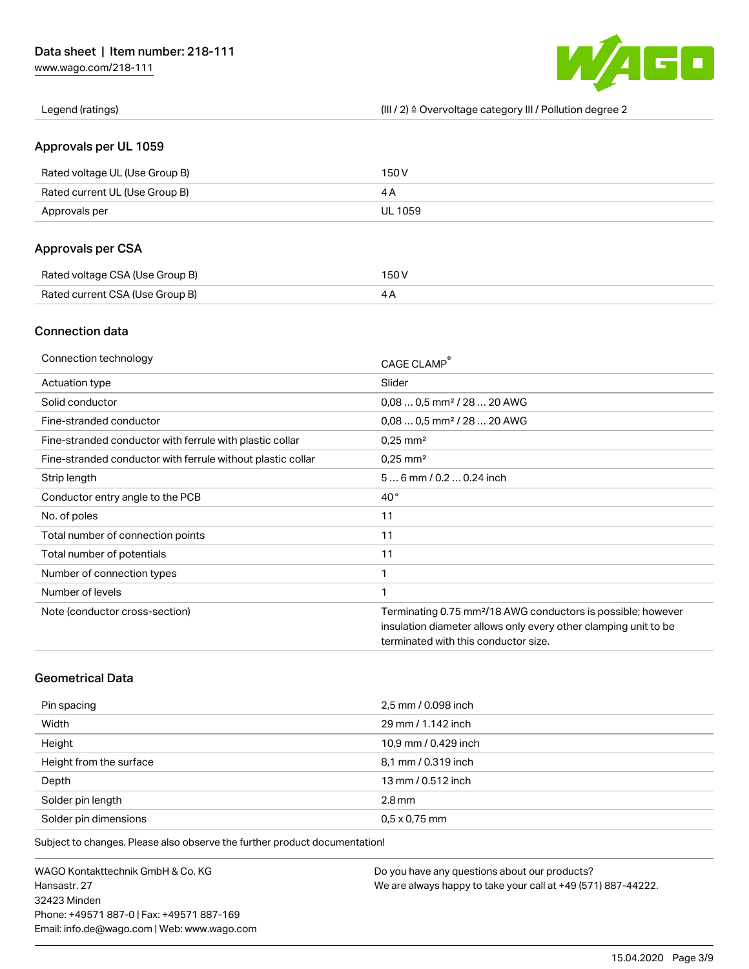[www.wago.com/218-111](http://www.wago.com/218-111)



Legend (ratings) (III / 2) ≙ Overvoltage category III / Pollution degree 2

#### Approvals per UL 1059

| Rated voltage UL (Use Group B) | 150 V   |
|--------------------------------|---------|
| Rated current UL (Use Group B) |         |
| Approvals per                  | UL 1059 |

### Approvals per CSA

| Rated voltage CSA (Use Group B) | 150 V |
|---------------------------------|-------|
| Rated current CSA (Use Group B) |       |

#### Connection data

| Connection technology                                       | CAGE CLAMP                                                               |
|-------------------------------------------------------------|--------------------------------------------------------------------------|
| Actuation type                                              | Slider                                                                   |
| Solid conductor                                             | $0.080.5$ mm <sup>2</sup> / 28  20 AWG                                   |
| Fine-stranded conductor                                     | $0.080.5$ mm <sup>2</sup> / 28  20 AWG                                   |
| Fine-stranded conductor with ferrule with plastic collar    | $0.25$ mm <sup>2</sup>                                                   |
| Fine-stranded conductor with ferrule without plastic collar | $0.25$ mm <sup>2</sup>                                                   |
| Strip length                                                | $56$ mm $/ 0.20.24$ inch                                                 |
| Conductor entry angle to the PCB                            | $40^{\circ}$                                                             |
| No. of poles                                                | 11                                                                       |
| Total number of connection points                           | 11                                                                       |
| Total number of potentials                                  | 11                                                                       |
| Number of connection types                                  | 1                                                                        |
| Number of levels                                            | 1                                                                        |
| Note (conductor cross-section)                              | Terminating 0.75 mm <sup>2</sup> /18 AWG conductors is possible; however |
|                                                             | insulation diameter allows only every other clamping unit to be          |
|                                                             | terminated with this conductor size.                                     |

## Geometrical Data

| Pin spacing             | 2,5 mm / 0.098 inch  |
|-------------------------|----------------------|
| Width                   | 29 mm / 1.142 inch   |
| Height                  | 10,9 mm / 0.429 inch |
| Height from the surface | 8,1 mm / 0.319 inch  |
| Depth                   | 13 mm / 0.512 inch   |
| Solder pin length       | $2.8$ mm             |
| Solder pin dimensions   | $0.5 \times 0.75$ mm |

Subject to changes. Please also observe the further product documentation!

WAGO Kontakttechnik GmbH & Co. KG Hansastr. 27 32423 Minden Phone: +49571 887-0 | Fax: +49571 887-169 Email: info.de@wago.com | Web: www.wago.com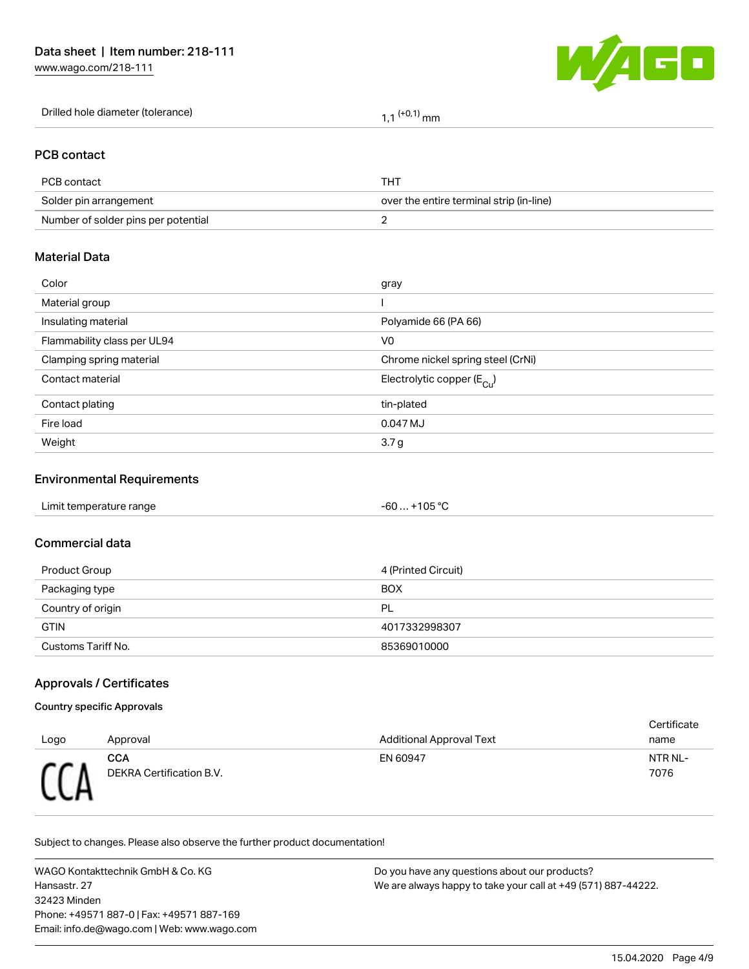[www.wago.com/218-111](http://www.wago.com/218-111)



| Drilled hole diameter (tolerance) | ' mm |
|-----------------------------------|------|
|-----------------------------------|------|

#### PCB contact

| PCB contact                         | THT                                      |
|-------------------------------------|------------------------------------------|
| Solder pin arrangement              | over the entire terminal strip (in-line) |
| Number of solder pins per potential |                                          |

#### Material Data

| Color                       | gray                                   |
|-----------------------------|----------------------------------------|
| Material group              |                                        |
| Insulating material         | Polyamide 66 (PA 66)                   |
| Flammability class per UL94 | V <sub>0</sub>                         |
| Clamping spring material    | Chrome nickel spring steel (CrNi)      |
| Contact material            | Electrolytic copper (E <sub>Cu</sub> ) |
| Contact plating             | tin-plated                             |
| Fire load                   | 0.047 MJ                               |
| Weight                      | 3.7 <sub>g</sub>                       |
|                             |                                        |

# Environmental Requirements

#### Commercial data

| Product Group      | 4 (Printed Circuit) |
|--------------------|---------------------|
| Packaging type     | <b>BOX</b>          |
| Country of origin  | PL                  |
| <b>GTIN</b>        | 4017332998307       |
| Customs Tariff No. | 85369010000         |

#### Approvals / Certificates

#### Country specific Approvals

| Logo       | Approval                        | <b>Additional Approval Text</b> | Certificate<br>name |
|------------|---------------------------------|---------------------------------|---------------------|
| <b>CCD</b> | CCA<br>DEKRA Certification B.V. | EN 60947                        | NTR NL-<br>7076     |

Subject to changes. Please also observe the further product documentation!

WAGO Kontakttechnik GmbH & Co. KG Hansastr. 27 32423 Minden Phone: +49571 887-0 | Fax: +49571 887-169 Email: info.de@wago.com | Web: www.wago.com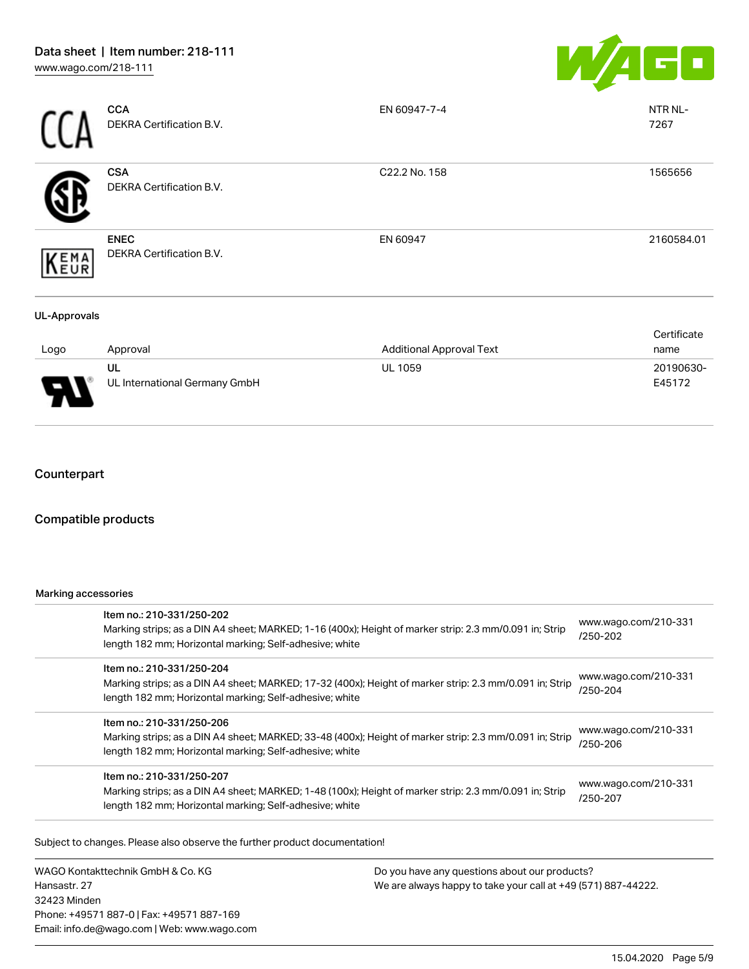

|                     | <b>CCA</b><br>DEKRA Certification B.V.  | EN 60947-7-4                    | NTR NL-<br>7267     |
|---------------------|-----------------------------------------|---------------------------------|---------------------|
|                     | <b>CSA</b><br>DEKRA Certification B.V.  | C22.2 No. 158                   | 1565656             |
| EMA<br>EUR          | <b>ENEC</b><br>DEKRA Certification B.V. | EN 60947                        | 2160584.01          |
| <b>UL-Approvals</b> |                                         |                                 |                     |
| Logo                | Approval                                | <b>Additional Approval Text</b> | Certificate<br>name |
|                     | UL<br>UL International Germany GmbH     | UL 1059                         | 20190630-<br>E45172 |

## **Counterpart**

#### Compatible products

#### Marking accessories

| Item no.: 210-331/250-202<br>Marking strips; as a DIN A4 sheet; MARKED; 1-16 (400x); Height of marker strip: 2.3 mm/0.091 in; Strip<br>length 182 mm; Horizontal marking; Self-adhesive; white  | www.wago.com/210-331<br>/250-202 |
|-------------------------------------------------------------------------------------------------------------------------------------------------------------------------------------------------|----------------------------------|
| Item no.: 210-331/250-204<br>Marking strips; as a DIN A4 sheet; MARKED; 17-32 (400x); Height of marker strip: 2.3 mm/0.091 in; Strip<br>length 182 mm; Horizontal marking; Self-adhesive; white | www.wago.com/210-331<br>/250-204 |
| Item no.: 210-331/250-206<br>Marking strips; as a DIN A4 sheet; MARKED; 33-48 (400x); Height of marker strip: 2.3 mm/0.091 in; Strip<br>length 182 mm; Horizontal marking; Self-adhesive; white | www.wago.com/210-331<br>/250-206 |
| Item no.: 210-331/250-207<br>Marking strips; as a DIN A4 sheet; MARKED; 1-48 (100x); Height of marker strip: 2.3 mm/0.091 in; Strip<br>length 182 mm; Horizontal marking; Self-adhesive; white  | www.wago.com/210-331<br>/250-207 |

.<br>Subject to changes. Please also observe the further product documentation!

WAGO Kontakttechnik GmbH & Co. KG Hansastr. 27 32423 Minden Phone: +49571 887-0 | Fax: +49571 887-169 Email: info.de@wago.com | Web: www.wago.com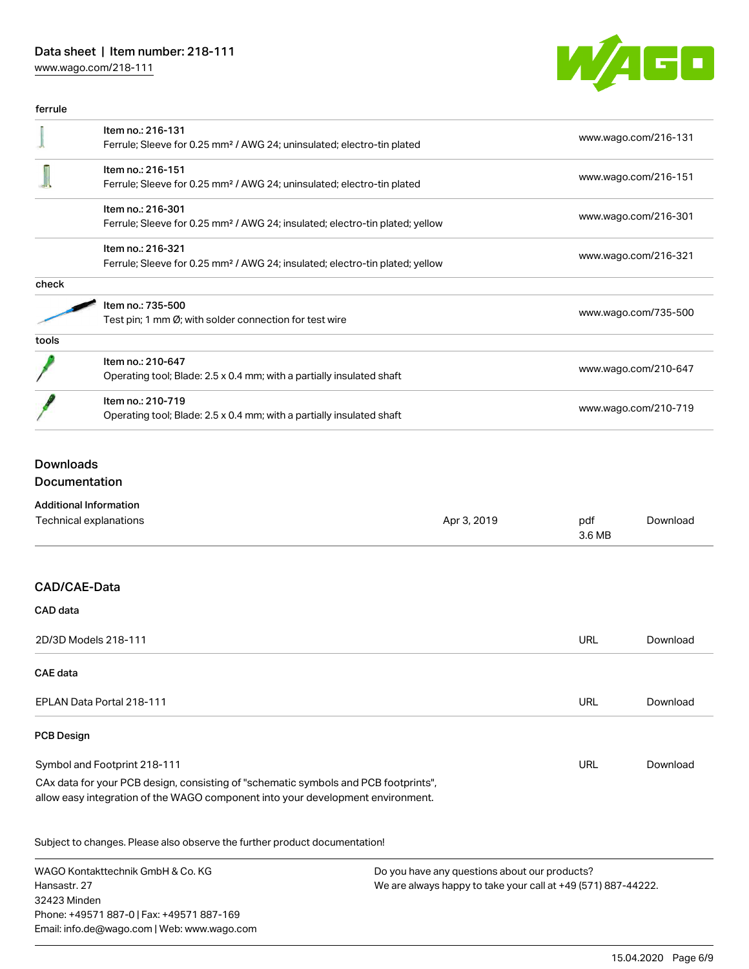# Data sheet | Item number: 218-111

[www.wago.com/218-111](http://www.wago.com/218-111)



| ferrule |                                                                                                               |                      |
|---------|---------------------------------------------------------------------------------------------------------------|----------------------|
|         | Item no.: 216-131<br>Ferrule; Sleeve for 0.25 mm <sup>2</sup> / AWG 24; uninsulated; electro-tin plated       | www.wago.com/216-131 |
|         | Item no.: 216-151<br>Ferrule; Sleeve for 0.25 mm <sup>2</sup> / AWG 24; uninsulated; electro-tin plated       | www.wago.com/216-151 |
|         | Item no.: 216-301<br>Ferrule; Sleeve for 0.25 mm <sup>2</sup> / AWG 24; insulated; electro-tin plated; yellow | www.wago.com/216-301 |
|         | Item no.: 216-321<br>Ferrule; Sleeve for 0.25 mm <sup>2</sup> / AWG 24; insulated; electro-tin plated; yellow | www.wago.com/216-321 |
| check   |                                                                                                               |                      |
|         | Item no.: 735-500<br>Test pin; 1 mm $\varnothing$ ; with solder connection for test wire                      | www.wago.com/735-500 |
| tools   |                                                                                                               |                      |
|         | Item no.: 210-647<br>Operating tool; Blade: 2.5 x 0.4 mm; with a partially insulated shaft                    | www.wago.com/210-647 |
|         | Item no.: 210-719<br>Operating tool; Blade: 2.5 x 0.4 mm; with a partially insulated shaft                    | www.wago.com/210-719 |

# Downloads Documentation

| <b>Additional Information</b>                                                                                                                                          |             |               |          |
|------------------------------------------------------------------------------------------------------------------------------------------------------------------------|-------------|---------------|----------|
| Technical explanations                                                                                                                                                 | Apr 3, 2019 | pdf<br>3.6 MB | Download |
|                                                                                                                                                                        |             |               |          |
| CAD/CAE-Data                                                                                                                                                           |             |               |          |
| CAD data                                                                                                                                                               |             |               |          |
| 2D/3D Models 218-111                                                                                                                                                   |             | <b>URL</b>    | Download |
| <b>CAE</b> data                                                                                                                                                        |             |               |          |
| EPLAN Data Portal 218-111                                                                                                                                              |             | <b>URL</b>    | Download |
| <b>PCB Design</b>                                                                                                                                                      |             |               |          |
| Symbol and Footprint 218-111                                                                                                                                           |             | URL           | Download |
| CAx data for your PCB design, consisting of "schematic symbols and PCB footprints",<br>allow easy integration of the WAGO component into your development environment. |             |               |          |
| Subject to changes. Please also observe the further product documentation!                                                                                             |             |               |          |

WAGO Kontakttechnik GmbH & Co. KG Hansastr. 27 32423 Minden Phone: +49571 887-0 | Fax: +49571 887-169 Email: info.de@wago.com | Web: www.wago.com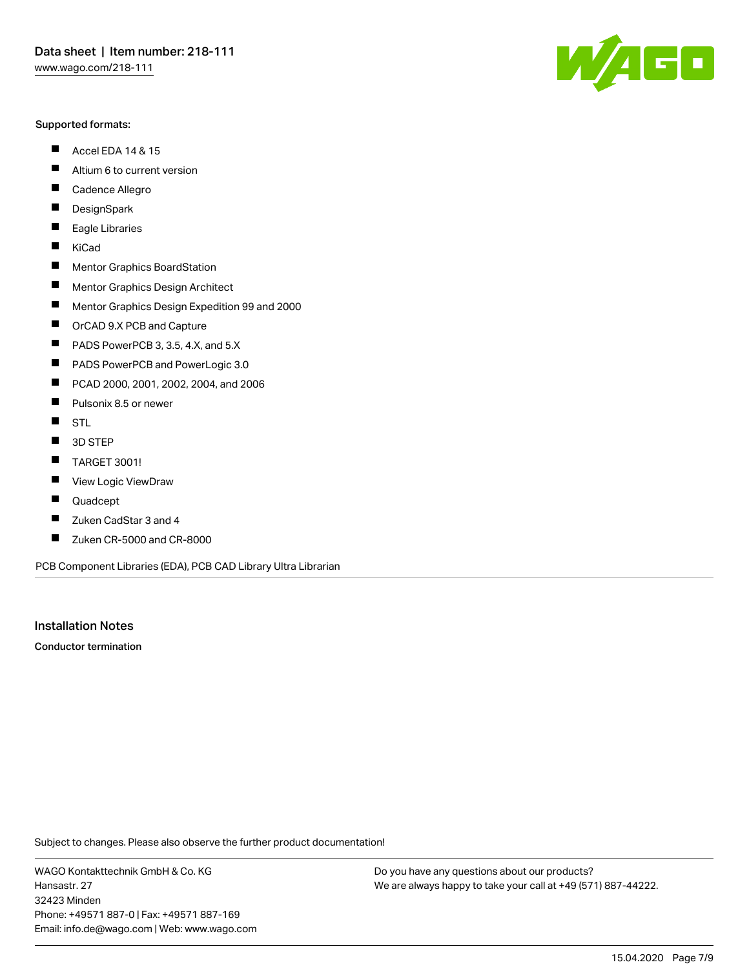#### Supported formats:

- $\blacksquare$ Accel EDA 14 & 15
- $\blacksquare$ Altium 6 to current version
- $\blacksquare$ Cadence Allegro
- $\blacksquare$ **DesignSpark**
- $\blacksquare$ Eagle Libraries
- $\blacksquare$ KiCad
- $\blacksquare$ Mentor Graphics BoardStation
- $\blacksquare$ Mentor Graphics Design Architect
- $\blacksquare$ Mentor Graphics Design Expedition 99 and 2000
- $\blacksquare$ OrCAD 9.X PCB and Capture
- $\blacksquare$ PADS PowerPCB 3, 3.5, 4.X, and 5.X
- $\blacksquare$ PADS PowerPCB and PowerLogic 3.0
- $\blacksquare$ PCAD 2000, 2001, 2002, 2004, and 2006
- $\blacksquare$ Pulsonix 8.5 or newer
- $\blacksquare$ STL
- 3D STEP П
- П TARGET 3001!
- $\blacksquare$ View Logic ViewDraw
- П Quadcept
- $\blacksquare$ Zuken CadStar 3 and 4
- Zuken CR-5000 and CR-8000 П

PCB Component Libraries (EDA), PCB CAD Library Ultra Librarian

Installation Notes

Conductor termination

Subject to changes. Please also observe the further product documentation!

WAGO Kontakttechnik GmbH & Co. KG Hansastr. 27 32423 Minden Phone: +49571 887-0 | Fax: +49571 887-169 Email: info.de@wago.com | Web: www.wago.com

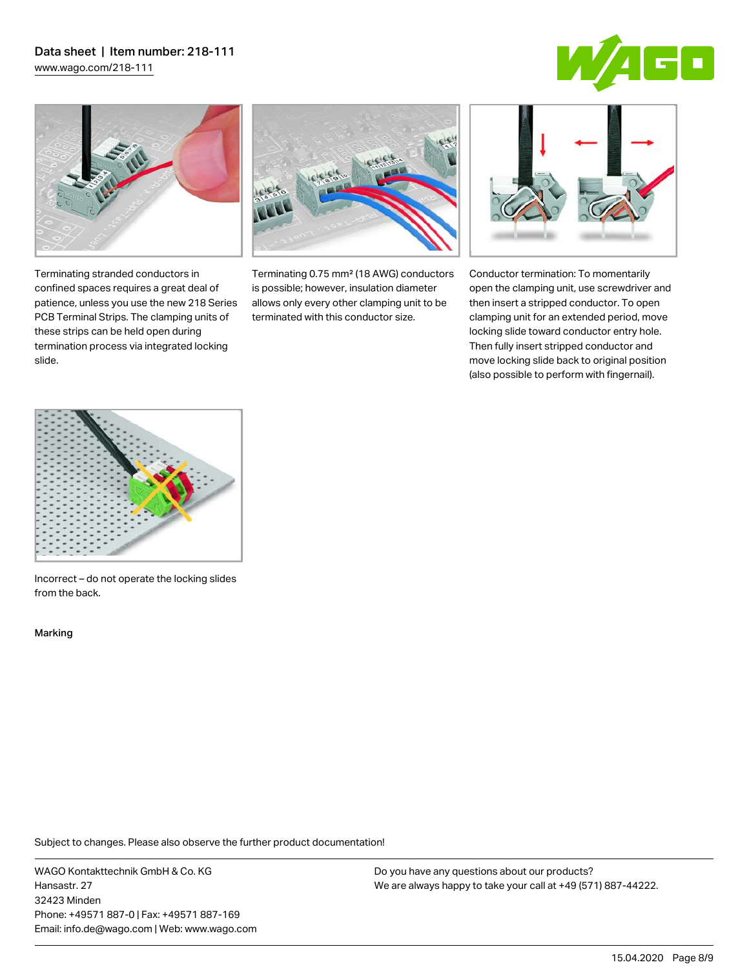# Data sheet | Item number: 218-111

[www.wago.com/218-111](http://www.wago.com/218-111)





Terminating stranded conductors in confined spaces requires a great deal of patience, unless you use the new 218 Series PCB Terminal Strips. The clamping units of these strips can be held open during termination process via integrated locking

Terminating 0.75 mm² (18 AWG) conductors is possible; however, insulation diameter allows only every other clamping unit to be terminated with this conductor size.



Conductor termination: To momentarily open the clamping unit, use screwdriver and then insert a stripped conductor. To open clamping unit for an extended period, move locking slide toward conductor entry hole. Then fully insert stripped conductor and move locking slide back to original position (also possible to perform with fingernail).



Incorrect – do not operate the locking slides from the back.

Marking

slide.

Subject to changes. Please also observe the further product documentation!

WAGO Kontakttechnik GmbH & Co. KG Hansastr. 27 32423 Minden Phone: +49571 887-0 | Fax: +49571 887-169 Email: info.de@wago.com | Web: www.wago.com